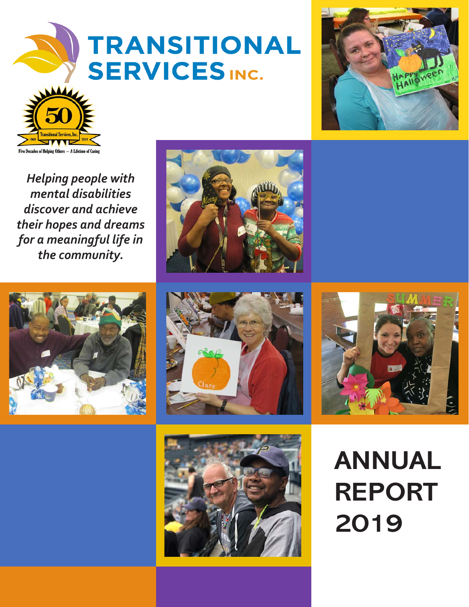### **TRANSITIONAL SERVICES INC.**





*Helping people with mental disabilities discover and achieve their hopes and dreams for a meaningful life in the community.*











### **ANNUAL REPORT 2019**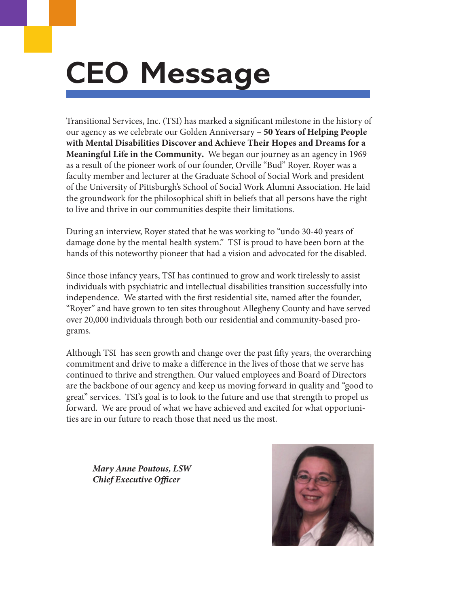### **CEO Message**

Transitional Services, Inc. (TSI) has marked a significant milestone in the history of our agency as we celebrate our Golden Anniversary – 50 Years of Helping People with Mental Disabilities Discover and Achieve Their Hopes and Dreams for a Meaningful Life in the Community. We began our journey as an agency in 1969 as a result of the pioneer work of our founder, Orville "Bud" Royer. Royer was a faculty member and lecturer at the Graduate School of Social Work and president of the University of Pittsburgh's School of Social Work Alumni Association. He laid the groundwork for the philosophical shift in beliefs that all persons have the right to live and thrive in our communities despite their limitations.

During an interview, Royer stated that he was working to "undo 30-40 years of damage done by the mental health system." TSI is proud to have been born at the hands of this noteworthy pioneer that had a vision and advocated for the disabled.

Since those infancy years, TSI has continued to grow and work tirelessly to assist individuals with psychiatric and intellectual disabilities transition successfully into independence. We started with the first residential site, named after the founder, "Royer" and have grown to ten sites throughout Allegheny County and have served over 20,000 individuals through both our residential and community-based programs.

Although TSI has seen growth and change over the past fifty years, the overarching commitment and drive to make a difference in the lives of those that we serve has continued to thrive and strengthen. Our valued employees and Board of Directors are the backbone of our agency and keep us moving forward in quality and "good to great" services. TSI's goal is to look to the future and use that strength to propel us forward. We are proud of what we have achieved and excited for what opportunities are in our future to reach those that need us the most.

*Mary Anne Poutous, LSW Chief Executive Officer*

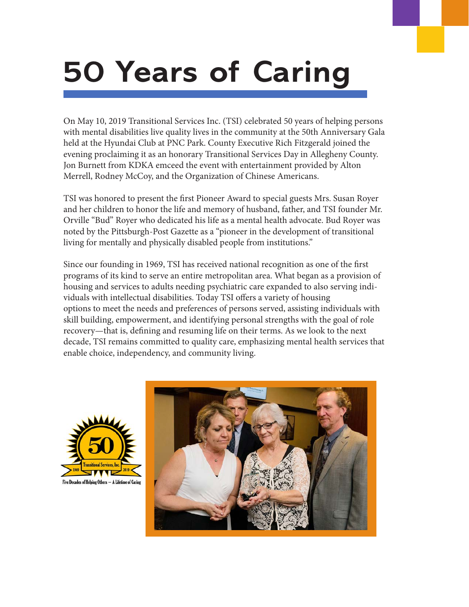# **50 Years of Caring**

On May 10, 2019 Transitional Services Inc. (TSI) celebrated 50 years of helping persons with mental disabilities live quality lives in the community at the 50th Anniversary Gala held at the Hyundai Club at PNC Park. County Executive Rich Fitzgerald joined the evening proclaiming it as an honorary Transitional Services Day in Allegheny County. Jon Burnett from KDKA emceed the event with entertainment provided by Alton Merrell, Rodney McCoy, and the Organization of Chinese Americans.

TSI was honored to present the first Pioneer Award to special guests Mrs. Susan Royer and her children to honor the life and memory of husband, father, and TSI founder Mr. Orville "Bud" Royer who dedicated his life as a mental health advocate. Bud Royer was noted by the Pittsburgh-Post Gazette as a "pioneer in the development of transitional living for mentally and physically disabled people from institutions."

Since our founding in 1969, TSI has received national recognition as one of the first programs of its kind to serve an entire metropolitan area. What began as a provision of housing and services to adults needing psychiatric care expanded to also serving individuals with intellectual disabilities. Today TSI offers a variety of housing options to meet the needs and preferences of persons served, assisting individuals with skill building, empowerment, and identifying personal strengths with the goal of role recovery—that is, defining and resuming life on their terms. As we look to the next decade, TSI remains committed to quality care, emphasizing mental health services that enable choice, independency, and community living.



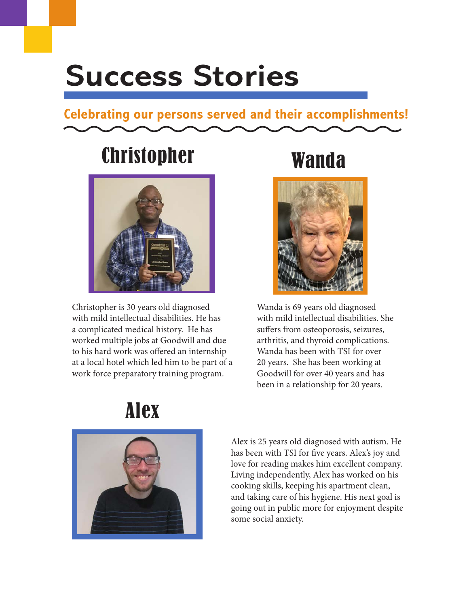### **Success Stories**

#### **Celebrating our persons served and their accomplishments!**

#### Christopher Wanda



Christopher is 30 years old diagnosed with mild intellectual disabilities. He has a complicated medical history. He has worked multiple jobs at Goodwill and due to his hard work was offered an internship at a local hotel which led him to be part of a work force preparatory training program.



Wanda is 69 years old diagnosed with mild intellectual disabilities. She suffers from osteoporosis, seizures, arthritis, and thyroid complications. Wanda has been with TSI for over 20 years. She has been working at Goodwill for over 40 years and has been in a relationship for 20 years.





Alex is 25 years old diagnosed with autism. He has been with TSI for five years. Alex's joy and love for reading makes him excellent company. Living independently, Alex has worked on his cooking skills, keeping his apartment clean, and taking care of his hygiene. His next goal is going out in public more for enjoyment despite some social anxiety.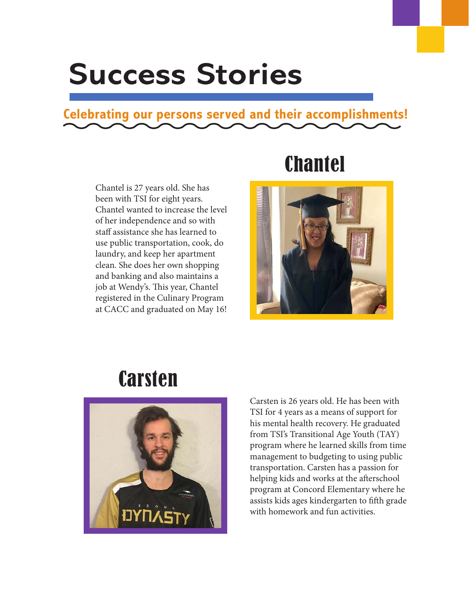### **Success Stories**

#### **Celebrating our persons served and their accomplishments!**

Chantel is 27 years old. She has been with TSI for eight years. Chantel wanted to increase the level of her independence and so with staff assistance she has learned to use public transportation, cook, do laundry, and keep her apartment clean. She does her own shopping and banking and also maintains a job at Wendy's. This year, Chantel registered in the Culinary Program at CACC and graduated on May 16!

#### **Chantel**



#### **Carsten**



Carsten is 26 years old. He has been with TSI for 4 years as a means of support for his mental health recovery. He graduated from TSI's Transitional Age Youth (TAY) program where he learned skills from time management to budgeting to using public transportation. Carsten has a passion for helping kids and works at the afterschool program at Concord Elementary where he assists kids ages kindergarten to fifth grade with homework and fun activities.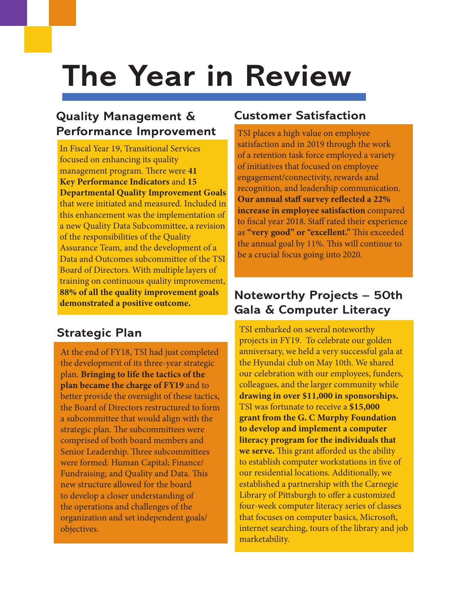## **The Year in Review**

#### **Quality Management & Performance Improvement**

In Fiscal Year 19, Transitional Services focused on enhancing its quality management program. There were 41 Key Performance Indicators and 15 Departmental Quality Improvement Goals that were initiated and measured. Included in this enhancement was the implementation of a new Quality Data Subcommittee, a revision of the responsibilities of the Quality Assurance Team, and the development of a Data and Outcomes subcommittee of the TSI Board of Directors. With multiple layers of training on continuous quality improvement, 88% of all the quality improvement goals demonstrated a positive outcome.

#### **Strategic Plan**

At the end of FY18, TSI had just completed the development of its three-year strategic plan. Bringing to life the tactics of the plan became the charge of FY19 and to better provide the oversight of these tactics, the Board of Directors restructured to form a subcommittee that would align with the strategic plan. The subcommittees were comprised of both board members and Senior Leadership. Three subcommittees were formed: Human Capital; Finance/ Fundraising; and Quality and Data. This new structure allowed for the board to develop a closer understanding of the operations and challenges of the organization and set independent goals/ objectives.

#### **Customer Satisfaction**

TSI places a high value on employee satisfaction and in 2019 through the work of a retention task force employed a variety of initiatives that focused on employee engagement/connectivity, rewards and recognition, and leadership communication. Our annual staff survey reflected a 22% increase in employee satisfaction compared to fiscal year 2018. Staff rated their experience as "very good" or "excellent." This exceeded the annual goal by 11%. This will continue to be a crucial focus going into 2020.

#### **Noteworthy Projects – 50th Gala & Computer Literacy**

TSI embarked on several noteworthy projects in FY19. To celebrate our golden anniversary, we held a very successful gala at the Hyundai club on May 10th. We shared our celebration with our employees, funders, colleagues, and the larger community while drawing in over \$11,000 in sponsorships. TSI was fortunate to receive a \$15,000 grant from the G. C Murphy Foundation to develop and implement a computer literacy program for the individuals that we serve. This grant afforded us the ability to establish computer workstations in five of our residential locations. Additionally, we established a partnership with the Carnegie Library of Pittsburgh to offer a customized four-week computer literacy series of classes that focuses on computer basics, Microsoft, internet searching, tours of the library and job marketability.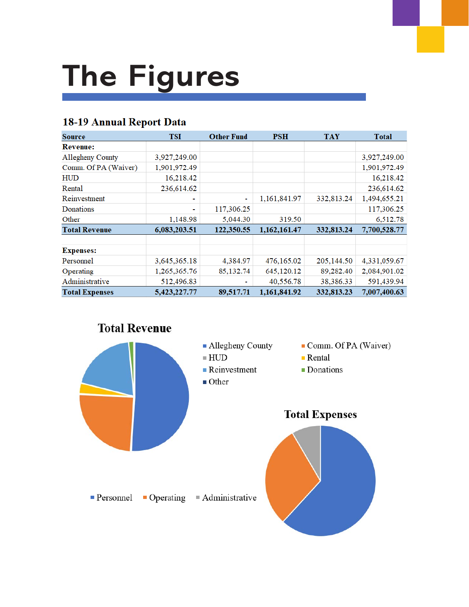# **The Figures**

#### 18-19 Annual Report Data

| <b>Source</b>           | TSI                      | <b>Other Fund</b> | <b>PSH</b>   | <b>TAY</b> | <b>Total</b> |
|-------------------------|--------------------------|-------------------|--------------|------------|--------------|
| <b>Revenue:</b>         |                          |                   |              |            |              |
| <b>Allegheny County</b> | 3,927,249.00             |                   |              |            | 3,927,249.00 |
| Comm. Of PA (Waiver)    | 1,901,972.49             |                   |              |            | 1,901,972.49 |
| <b>HUD</b>              | 16,218.42                |                   |              |            | 16,218.42    |
| Rental                  | 236,614.62               |                   |              |            | 236,614.62   |
| Reinvestment            | ٠                        | ۰                 | 1,161,841.97 | 332,813.24 | 1,494,655.21 |
| Donations               | $\overline{\phantom{a}}$ | 117,306.25        |              |            | 117,306.25   |
| Other                   | 1,148.98                 | 5,044.30          | 319.50       |            | 6,512.78     |
| <b>Total Revenue</b>    | 6,083,203.51             | 122,350.55        | 1,162,161.47 | 332,813.24 | 7,700,528.77 |
|                         |                          |                   |              |            |              |
| <b>Expenses:</b>        |                          |                   |              |            |              |
| Personnel               | 3,645,365.18             | 4,384.97          | 476,165.02   | 205,144.50 | 4,331,059.67 |
| Operating               | 1,265,365.76             | 85,132.74         | 645,120.12   | 89,282.40  | 2,084,901.02 |
| Administrative          | 512,496.83               | ۰                 | 40,556.78    | 38,386.33  | 591,439.94   |
| <b>Total Expenses</b>   | 5,423,227.77             | 89,517.71         | 1,161,841.92 | 332,813.23 | 7,007,400.63 |

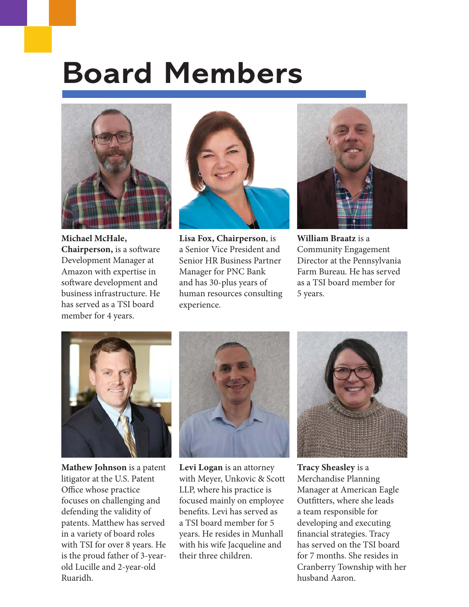### **Board Members**



Michael McHale, Chairperson, is a software Development Manager at Amazon with expertise in software development and business infrastructure. He has served as a TSI board member for 4 years.



Lisa Fox, Chairperson, is a Senior Vice President and Senior HR Business Partner Manager for PNC Bank and has 30-plus years of human resources consulting experience.



William Braatz is a Community Engagement Director at the Pennsylvania Farm Bureau. He has served as a TSI board member for 5 years.



Mathew Johnson is a patent litigator at the U.S. Patent Office whose practice focuses on challenging and defending the validity of patents. Matthew has served in a variety of board roles with TSI for over 8 years. He is the proud father of 3-yearold Lucille and 2-year-old Ruaridh.



Levi Logan is an attorney with Meyer, Unkovic & Scott LLP, where his practice is focused mainly on employee benefits. Levi has served as a TSI board member for 5 years. He resides in Munhall with his wife Jacqueline and their three children.



Tracy Sheasley is a Merchandise Planning Manager at American Eagle Outfitters, where she leads a team responsible for developing and executing financial strategies. Tracy has served on the TSI board for 7 months. She resides in Cranberry Township with her husband Aaron.